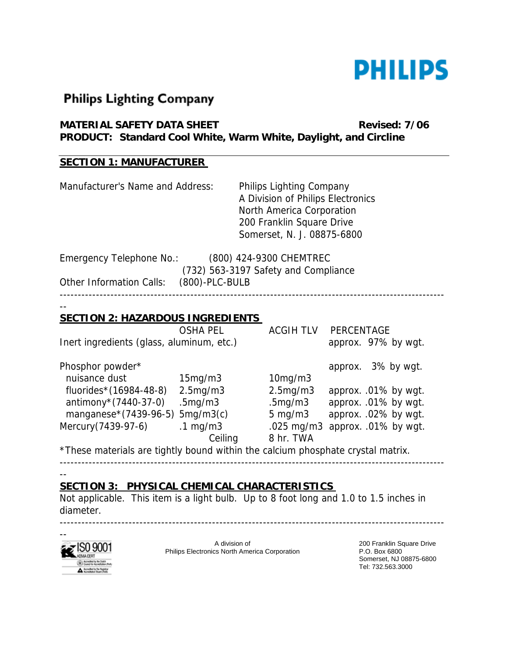

# **Philips Lighting Company**

| MATERIAL SAFETY DATA SHEET                                       | <b>Revised: 7/06</b> |
|------------------------------------------------------------------|----------------------|
| PRODUCT: Standard Cool White, Warm White, Daylight, and Circline |                      |

### **SECTION 1: MANUFACTURER**

| Manufacturer's Name and Address:           | Philips Lighting Company<br>A Division of Philips Electronics<br>North America Corporation<br>200 Franklin Square Drive<br>Somerset, N. J. 08875-6800 |
|--------------------------------------------|-------------------------------------------------------------------------------------------------------------------------------------------------------|
| Emergency Telephone No.:                   | (800) 424-9300 CHEMTREC<br>(732) 563-3197 Safety and Compliance                                                                                       |
| (800)-PLC-BULB<br>Other Information Calls: |                                                                                                                                                       |
| <b>SECTION 2: HAZARDOUS INGREDIENTS</b>    |                                                                                                                                                       |

|                                                                                 | <b>OSHA PEL</b>     | <b>ACGIH TLV</b>     | PERCENTAGE                      |  |
|---------------------------------------------------------------------------------|---------------------|----------------------|---------------------------------|--|
| Inert ingredients (glass, aluminum, etc.)                                       |                     |                      | approx. 97% by wgt.             |  |
| Phosphor powder*                                                                |                     |                      | approx. 3% by wgt.              |  |
| nuisance dust                                                                   | 15mg/m3             | 10mg/m3              |                                 |  |
| fluorides*(16984-48-8)                                                          | 2.5mg/m3            | 2.5mg/m3             | approx. .01% by wgt.            |  |
| antimony $*(7440-37-0)$                                                         | .5mg/m3             | .5 <sub>mg</sub> /m3 | approx. .01% by wgt.            |  |
| manganese*(7439-96-5) 5mg/m3(c)                                                 |                     | $5 \text{ mg/m}$     | approx. .02% by wgt.            |  |
| Mercury(7439-97-6)                                                              | $.1 \text{ mg/m}$ 3 |                      | .025 mg/m3 approx. .01% by wgt. |  |
|                                                                                 | Ceiling             | 8 hr. TWA            |                                 |  |
| *These materials are tightly bound within the calcium phosphate crystal matrix. |                     |                      |                                 |  |

----------------------------------------------------------------------------------------------------------

 $-$ 

### **SECTION 3: PHYSICAL CHEMICAL CHARACTERISTICS**

Not applicable. This item is a light bulb. Up to 8 foot long and 1.0 to 1.5 inches in diameter.

----------------------------------------------------------------------------------------------------------



A division of Philips Electronics North America Corporation

200 Franklin Square Drive P.O. Box 6800 Somerset, NJ 08875-6800 Tel: 732.563.3000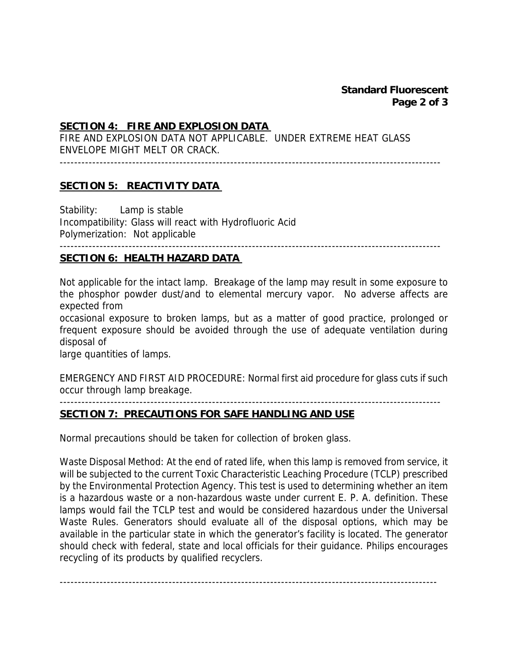#### **SECTION 4: FIRE AND EXPLOSION DATA**

FIRE AND EXPLOSION DATA NOT APPLICABLE. UNDER EXTREME HEAT GLASS ENVELOPE MIGHT MELT OR CRACK.

---------------------------------------------------------------------------------------------------------

#### **SECTION 5: REACTIVITY DATA**

Stability: Lamp is stable Incompatibility: Glass will react with Hydrofluoric Acid Polymerization: Not applicable ---------------------------------------------------------------------------------------------------------

## **SECTION 6: HEALTH HAZARD DATA**

Not applicable for the intact lamp. Breakage of the lamp may result in some exposure to the phosphor powder dust/and to elemental mercury vapor. No adverse affects are expected from

occasional exposure to broken lamps, but as a matter of good practice, prolonged or frequent exposure should be avoided through the use of adequate ventilation during disposal of

large quantities of lamps.

EMERGENCY AND FIRST AID PROCEDURE: Normal first aid procedure for glass cuts if such occur through lamp breakage.

---------------------------------------------------------------------------------------------------------

#### **SECTION 7: PRECAUTIONS FOR SAFE HANDLING AND USE**

Normal precautions should be taken for collection of broken glass.

Waste Disposal Method: At the end of rated life, when this lamp is removed from service, it will be subjected to the current Toxic Characteristic Leaching Procedure (TCLP) prescribed by the Environmental Protection Agency. This test is used to determining whether an item is a hazardous waste or a non-hazardous waste under current E. P. A. definition. These lamps would fail the TCLP test and would be considered hazardous under the Universal Waste Rules. Generators should evaluate all of the disposal options, which may be available in the particular state in which the generator's facility is located. The generator should check with federal, state and local officials for their guidance. Philips encourages recycling of its products by qualified recyclers.

--------------------------------------------------------------------------------------------------------